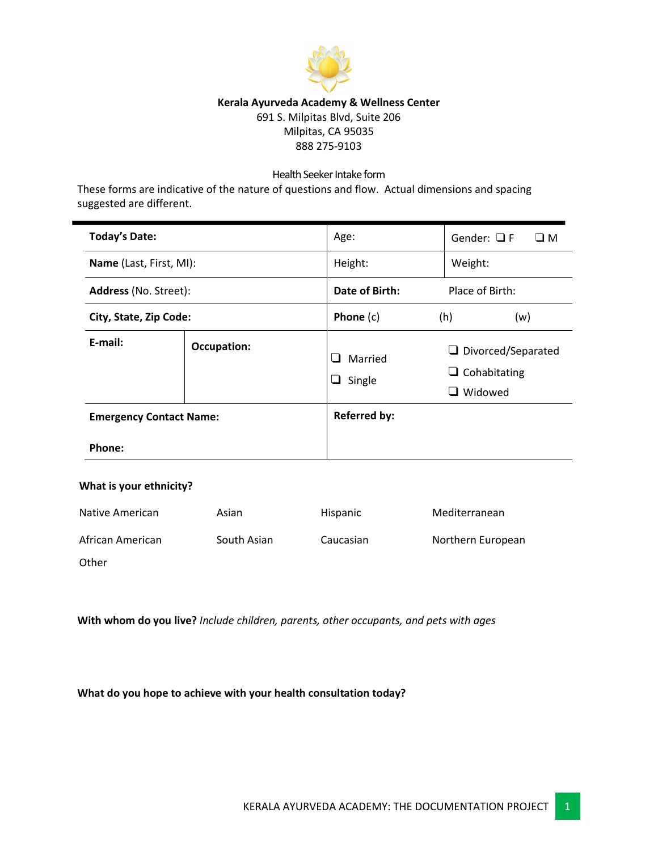

## **Kerala Ayurveda Academy & Wellness Center**

691 S. Milpitas Blvd, Suite 206 Milpitas, CA 95035 888 275-9103

### Health Seeker Intake form

These forms are indicative of the nature of questions and flow. Actual dimensions and spacing suggested are different.

| <b>Today's Date:</b>           |                    | Age:                             | Gender: $\Box F$<br>$\square$ M                                    |
|--------------------------------|--------------------|----------------------------------|--------------------------------------------------------------------|
| Name (Last, First, MI):        |                    | Height:                          | Weight:                                                            |
| <b>Address</b> (No. Street):   |                    | Date of Birth:                   | Place of Birth:                                                    |
| City, State, Zip Code:         |                    | Phone $(c)$                      | (h)<br>(w)                                                         |
| E-mail:                        | <b>Occupation:</b> | $\Box$<br>Married<br>⊔<br>Single | $\Box$ Divorced/Separated<br>$\Box$ Cohabitating<br>$\Box$ Widowed |
| <b>Emergency Contact Name:</b> |                    | <b>Referred by:</b>              |                                                                    |
| Phone:                         |                    |                                  |                                                                    |

## **What is your ethnicity?**

| Native American  | Asian       | <b>Hispanic</b> | Mediterranean     |
|------------------|-------------|-----------------|-------------------|
| African American | South Asian | Caucasian       | Northern European |
| Other            |             |                 |                   |

**With whom do you live?** *Include children, parents, other occupants, and pets with ages*

**What do you hope to achieve with your health consultation today?**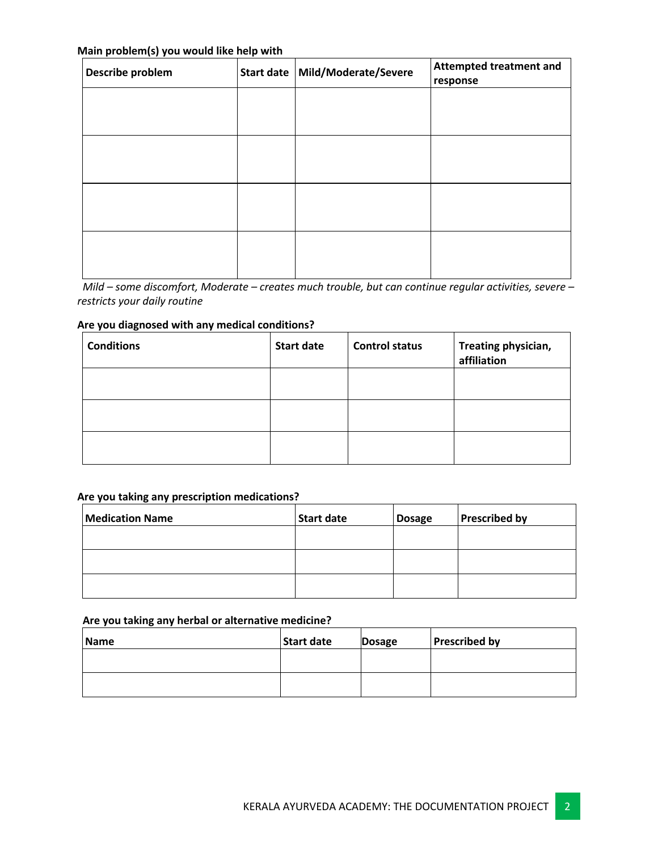### **Main problem(s) you would like help with**

| .<br>Describe problem | Start date   Mild/Moderate/Severe | <b>Attempted treatment and</b><br>response |
|-----------------------|-----------------------------------|--------------------------------------------|
|                       |                                   |                                            |
|                       |                                   |                                            |
|                       |                                   |                                            |
|                       |                                   |                                            |
|                       |                                   |                                            |
|                       |                                   |                                            |
|                       |                                   |                                            |

 *Mild – some discomfort, Moderate – creates much trouble, but can continue regular activities, severe – restricts your daily routine*

## **Are you diagnosed with any medical conditions?**

| <b>Conditions</b> | <b>Start date</b> | <b>Control status</b> | Treating physician,<br>affiliation |
|-------------------|-------------------|-----------------------|------------------------------------|
|                   |                   |                       |                                    |
|                   |                   |                       |                                    |
|                   |                   |                       |                                    |

### **Are you taking any prescription medications?**

| <b>Medication Name</b> | <b>Start date</b> | <b>Dosage</b> | <b>Prescribed by</b> |
|------------------------|-------------------|---------------|----------------------|
|                        |                   |               |                      |
|                        |                   |               |                      |
|                        |                   |               |                      |

## **Are you taking any herbal or alternative medicine?**

| Name | <b>Start date</b> | <b>Dosage</b> | <b>Prescribed by</b> |
|------|-------------------|---------------|----------------------|
|      |                   |               |                      |
|      |                   |               |                      |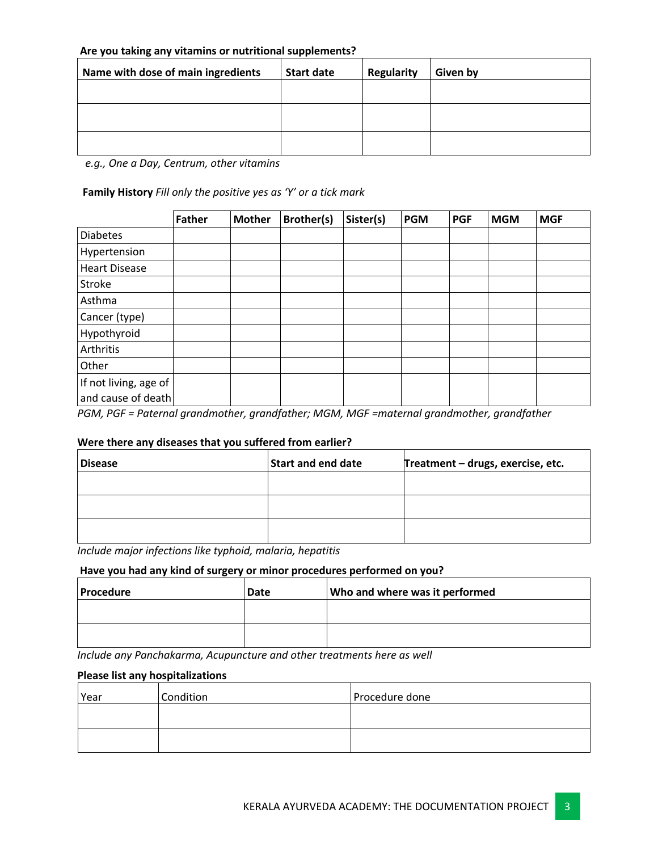### **Are you taking any vitamins or nutritional supplements?**

| Name with dose of main ingredients | <b>Start date</b> | <b>Regularity</b> | Given by |
|------------------------------------|-------------------|-------------------|----------|
|                                    |                   |                   |          |
|                                    |                   |                   |          |
|                                    |                   |                   |          |
|                                    |                   |                   |          |

 *e.g., One a Day, Centrum, other vitamins*

**Family History** *Fill only the positive yes as 'Y' or a tick mark*

|                       | <b>Father</b> | <b>Mother</b> | <b>Brother(s)</b> | Sister(s) | <b>PGM</b> | <b>PGF</b> | <b>MGM</b>      | <b>MGF</b> |
|-----------------------|---------------|---------------|-------------------|-----------|------------|------------|-----------------|------------|
| <b>Diabetes</b>       |               |               |                   |           |            |            |                 |            |
| Hypertension          |               |               |                   |           |            |            |                 |            |
| <b>Heart Disease</b>  |               |               |                   |           |            |            |                 |            |
| Stroke                |               |               |                   |           |            |            |                 |            |
| Asthma                |               |               |                   |           |            |            |                 |            |
| Cancer (type)         |               |               |                   |           |            |            |                 |            |
| Hypothyroid           |               |               |                   |           |            |            |                 |            |
| Arthritis             |               |               |                   |           |            |            |                 |            |
| Other                 |               |               |                   |           |            |            |                 |            |
| If not living, age of |               |               |                   |           |            |            |                 |            |
| and cause of death    | $\sim$ $\sim$ |               | $\cdot$ $\cdot$   |           |            |            | $\cdot$ $\cdot$ |            |

*PGM, PGF = Paternal grandmother, grandfather; MGM, MGF =maternal grandmother, grandfather*

## **Were there any diseases that you suffered from earlier?**

| <b>Disease</b> | <b>Start and end date</b> | Treatment - drugs, exercise, etc. |
|----------------|---------------------------|-----------------------------------|
|                |                           |                                   |
|                |                           |                                   |
|                |                           |                                   |

*Include major infections like typhoid, malaria, hepatitis*

#### **Have you had any kind of surgery or minor procedures performed on you?**

| <b>Procedure</b> | Date | Who and where was it performed |
|------------------|------|--------------------------------|
|                  |      |                                |
|                  |      |                                |

*Include any Panchakarma, Acupuncture and other treatments here as well*

#### **Please list any hospitalizations**

| Year | Condition | Procedure done |
|------|-----------|----------------|
|      |           |                |
|      |           |                |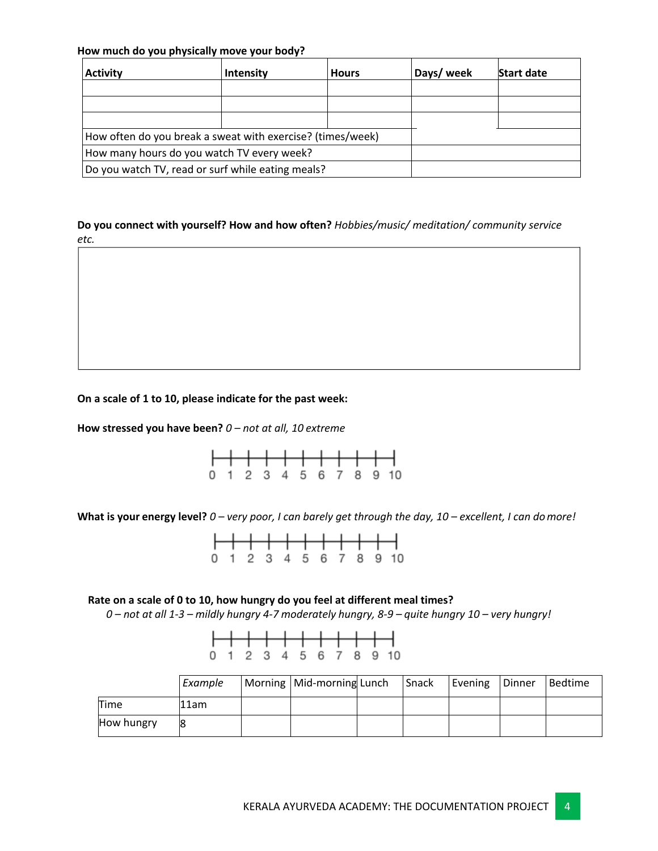### **How much do you physically move your body?**

| <b>Activity</b>                                            | <b>Intensity</b> | <b>Hours</b> | Days/ week | <b>Start date</b> |
|------------------------------------------------------------|------------------|--------------|------------|-------------------|
|                                                            |                  |              |            |                   |
|                                                            |                  |              |            |                   |
|                                                            |                  |              |            |                   |
| How often do you break a sweat with exercise? (times/week) |                  |              |            |                   |
| How many hours do you watch TV every week?                 |                  |              |            |                   |
| Do you watch TV, read or surf while eating meals?          |                  |              |            |                   |

**Do you connect with yourself? How and how often?** *Hobbies/music/ meditation/ community service etc.*

#### **On a scale of 1 to 10, please indicate for the past week:**

**How stressed you have been?** *0 – not at all, 10 extreme*

|  |  |  |  | 0 1 2 3 4 5 6 7 8 9 10 |  |
|--|--|--|--|------------------------|--|

**What is your energy level?** *0 – very poor, I can barely get through the day, 10 – excellent, I can domore!*

|  |  |  |  | 0 1 2 3 4 5 6 7 8 9 10 |  |
|--|--|--|--|------------------------|--|

#### **Rate on a scale of 0 to 10, how hungry do you feel at different meal times?**

*0 – not at all 1-3 – mildly hungry 4-7 moderately hungry, 8-9 – quite hungry 10 – very hungry!*

|  |  |  |  | 0 1 2 3 4 5 6 7 8 9 10 |  |
|--|--|--|--|------------------------|--|
|  |  |  |  |                        |  |

|            | Example | Morning   Mid-morning Lunch | Snack | Evening | Dinner | <b>Bedtime</b> |
|------------|---------|-----------------------------|-------|---------|--------|----------------|
| Time       | 11am    |                             |       |         |        |                |
| How hungry | 8       |                             |       |         |        |                |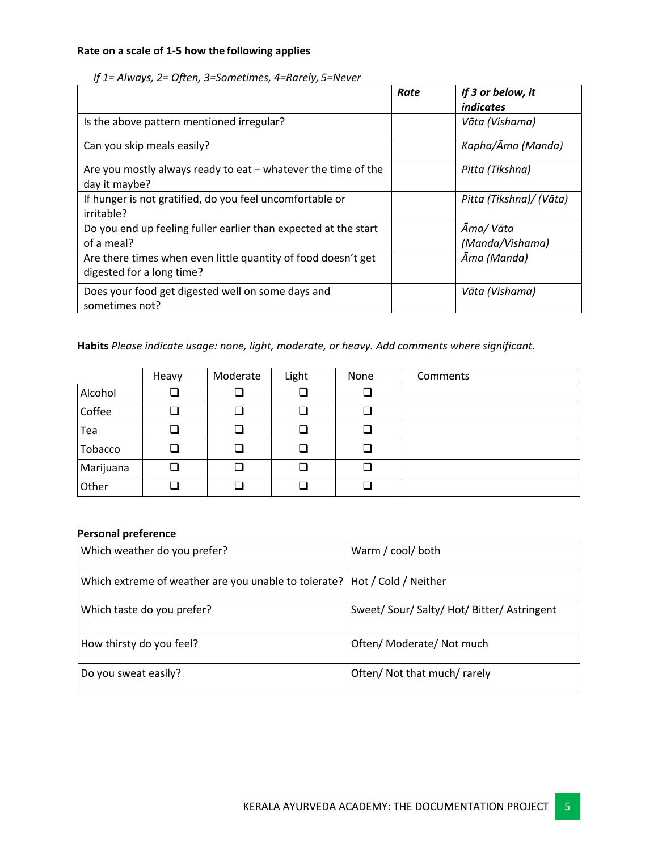## **Rate on a scale of 1-5 how the following applies**

|                                                                                            | Rate | If 3 or below, it<br><i>indicates</i> |
|--------------------------------------------------------------------------------------------|------|---------------------------------------|
| Is the above pattern mentioned irregular?                                                  |      | Vāta (Vishama)                        |
| Can you skip meals easily?                                                                 |      | Kapha/Āma (Manda)                     |
| Are you mostly always ready to eat $-$ whatever the time of the<br>day it maybe?           |      | Pitta (Tikshna)                       |
| If hunger is not gratified, do you feel uncomfortable or<br>irritable?                     |      | Pitta (Tikshna)/ (Vāta)               |
| Do you end up feeling fuller earlier than expected at the start<br>of a meal?              |      | Āma/Vāta<br>(Manda/Vishama)           |
| Are there times when even little quantity of food doesn't get<br>digested for a long time? |      | Āma (Manda)                           |
| Does your food get digested well on some days and<br>sometimes not?                        |      | Vāta (Vishama)                        |

### *If 1= Always, 2= Often, 3=Sometimes, 4=Rarely, 5=Never*

**Habits** *Please indicate usage: none, light, moderate, or heavy. Add comments where significant.*

|           | Heavy  | Moderate | Light | None   | Comments |
|-----------|--------|----------|-------|--------|----------|
| Alcohol   |        |          |       |        |          |
| Coffee    | $\Box$ | $\Box$   |       | □      |          |
| Tea       | Q      |          |       |        |          |
| Tobacco   |        |          |       |        |          |
| Marijuana |        | $\Box$   |       | $\Box$ |          |
| Other     | ᄀ      | ┙        |       |        |          |

### **Personal preference**

| Which weather do you prefer?                                                | Warm / cool/ both                           |
|-----------------------------------------------------------------------------|---------------------------------------------|
| Which extreme of weather are you unable to tolerate?   Hot / Cold / Neither |                                             |
| Which taste do you prefer?                                                  | Sweet/ Sour/ Salty/ Hot/ Bitter/ Astringent |
| How thirsty do you feel?                                                    | Often/ Moderate/ Not much                   |
| Do you sweat easily?                                                        | Often/ Not that much/ rarely                |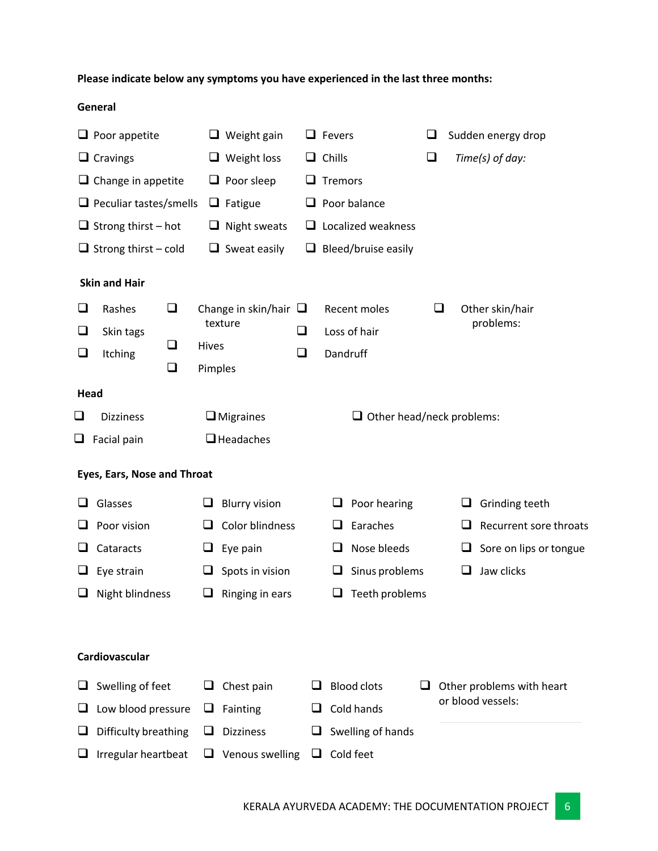# **Please indicate below any symptoms you have experienced in the last three months:**

## **General**

|                                                               | $\Box$ Poor appetite          |        |         | $\Box$ Weight gain         |   | $\Box$ Fevers |                                  | ⊔ |                   |   | Sudden energy drop        |  |
|---------------------------------------------------------------|-------------------------------|--------|---------|----------------------------|---|---------------|----------------------------------|---|-------------------|---|---------------------------|--|
|                                                               | $\Box$ Cravings               |        |         | $\Box$ Weight loss         |   |               | $\Box$ Chills                    |   | $\Box$            |   | Time(s) of day:           |  |
|                                                               | $\Box$ Change in appetite     |        |         | $\Box$ Poor sleep          | ш | Tremors       |                                  |   |                   |   |                           |  |
|                                                               | $\Box$ Peculiar tastes/smells |        |         | $\Box$ Fatigue             |   |               | $\Box$ Poor balance              |   |                   |   |                           |  |
|                                                               | $\Box$ Strong thirst – hot    |        |         | $\Box$ Night sweats        |   |               | $\Box$ Localized weakness        |   |                   |   |                           |  |
|                                                               | $\Box$ Strong thirst – cold   |        |         | $\Box$ Sweat easily        |   |               | $\Box$ Bleed/bruise easily       |   |                   |   |                           |  |
|                                                               | <b>Skin and Hair</b>          |        |         |                            |   |               |                                  |   |                   |   |                           |  |
| ⊔                                                             | Rashes                        | $\Box$ |         | Change in skin/hair $\Box$ |   |               | Recent moles                     |   | $\sqcup$          |   | Other skin/hair           |  |
| ❏                                                             | Skin tags                     |        | texture |                            | ❏ | Loss of hair  |                                  |   | problems:         |   |                           |  |
| $\sqcup$                                                      | Itching                       | ❏      | Hives   |                            | ❏ | Dandruff      |                                  |   |                   |   |                           |  |
|                                                               |                               | $\Box$ | Pimples |                            |   |               |                                  |   |                   |   |                           |  |
| Head                                                          |                               |        |         |                            |   |               |                                  |   |                   |   |                           |  |
| $\Box$                                                        | <b>Dizziness</b>              |        |         | $\Box$ Migraines           |   |               | $\Box$ Other head/neck problems: |   |                   |   |                           |  |
| ┙                                                             | Facial pain                   |        |         | □ Headaches                |   |               |                                  |   |                   |   |                           |  |
|                                                               | Eyes, Ears, Nose and Throat   |        |         |                            |   |               |                                  |   |                   |   |                           |  |
|                                                               | Glasses                       |        | ⊔       | <b>Blurry vision</b>       |   | ⊔             | Poor hearing                     |   |                   | ⊔ | Grinding teeth            |  |
|                                                               | Poor vision                   |        | ш       | Color blindness            |   | ⊔             | Earaches                         |   |                   | ⊔ | Recurrent sore throats    |  |
|                                                               | Cataracts                     |        | ⊔       | Eye pain                   |   | ❏             | Nose bleeds                      |   |                   | ⊔ | Sore on lips or tongue    |  |
| ⊔                                                             | Eye strain                    |        | ⊔       | Spots in vision            |   | ⊔             | Sinus problems                   |   |                   | ப | Jaw clicks                |  |
|                                                               | Night blindness               |        | u       | Ringing in ears            |   | ⊔             | Teeth problems                   |   |                   |   |                           |  |
|                                                               |                               |        |         |                            |   |               |                                  |   |                   |   |                           |  |
|                                                               | Cardiovascular                |        |         |                            |   |               |                                  |   |                   |   |                           |  |
|                                                               | Swelling of feet              |        |         | Chest pain                 |   |               | <b>Blood clots</b>               |   |                   |   | Other problems with heart |  |
|                                                               | Low blood pressure            |        |         | Fainting                   |   |               | Cold hands                       |   | or blood vessels: |   |                           |  |
|                                                               | Difficulty breathing          |        |         | <b>Dizziness</b>           |   |               | Swelling of hands                |   |                   |   |                           |  |
| Cold feet<br>Irregular heartbeat<br>Venous swelling<br>u<br>⊔ |                               |        |         |                            |   |               |                                  |   |                   |   |                           |  |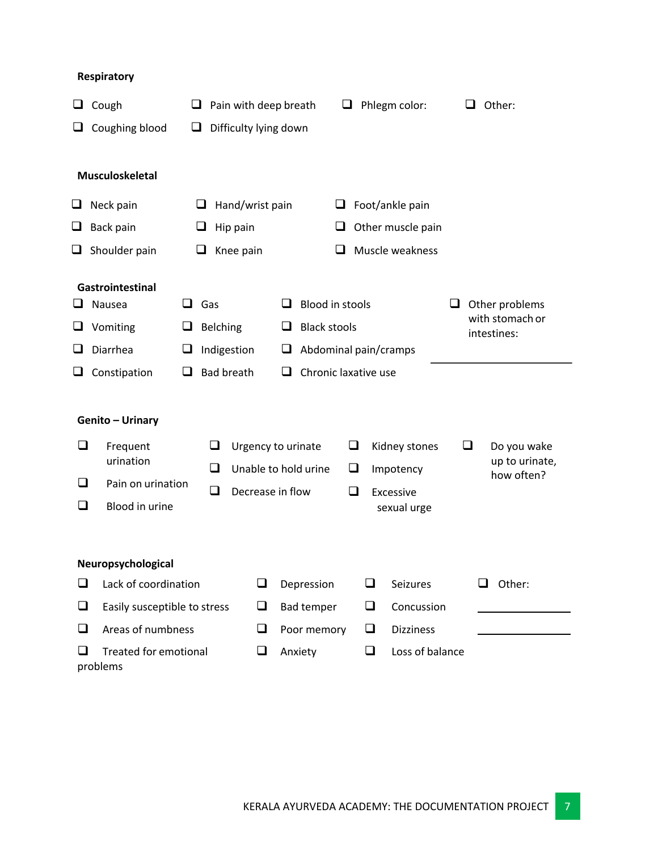# **Respiratory**

|        | Cough                                    | Pain with deep breath<br>Phlegm color:<br>⊔<br>⊔<br>Difficulty lying down |                          |                      |                                                        |                          |        |                         |                   | Other: |                                    |
|--------|------------------------------------------|---------------------------------------------------------------------------|--------------------------|----------------------|--------------------------------------------------------|--------------------------|--------|-------------------------|-------------------|--------|------------------------------------|
| ⊔      | Coughing blood                           | ⊔                                                                         |                          |                      |                                                        |                          |        |                         |                   |        |                                    |
|        | Musculoskeletal                          |                                                                           |                          |                      |                                                        |                          |        |                         |                   |        |                                    |
| ⊔      | Neck pain                                |                                                                           | $\overline{\phantom{0}}$ | Hand/wrist pain      |                                                        |                          | ⊔      |                         | Foot/ankle pain   |        |                                    |
| ⊔      | Back pain                                |                                                                           |                          | Hip pain             |                                                        |                          | ш      |                         | Other muscle pain |        |                                    |
| ⊔      | Shoulder pain                            |                                                                           | ⊔                        | Knee pain            |                                                        |                          | $\Box$ |                         | Muscle weakness   |        |                                    |
|        |                                          |                                                                           |                          |                      |                                                        |                          |        |                         |                   |        |                                    |
|        | Gastrointestinal<br>Nausea               | $\Box$                                                                    | Gas                      |                      |                                                        | <b>Blood in stools</b>   |        |                         |                   | ⊔      | Other problems                     |
| ⊔      | Vomiting                                 | Belching<br>└                                                             |                          |                      |                                                        | <b>Black stools</b><br>⊔ |        |                         |                   |        | with stomach or                    |
|        | Diarrhea                                 | Indigestion<br>Abdominal pain/cramps<br>⊔<br>┙                            |                          |                      |                                                        |                          |        |                         | intestines:       |        |                                    |
| ⊔      | Constipation                             | ш                                                                         |                          | <b>Bad breath</b>    | ப                                                      | Chronic laxative use     |        |                         |                   |        |                                    |
|        |                                          |                                                                           |                          |                      |                                                        |                          |        |                         |                   |        |                                    |
|        | Genito - Urinary                         |                                                                           |                          |                      |                                                        |                          |        |                         |                   |        |                                    |
|        |                                          |                                                                           |                          |                      |                                                        |                          |        |                         |                   |        |                                    |
| ❏      | Frequent<br>urination                    |                                                                           | ப                        |                      | Urgency to urinate                                     |                          |        | $\Box$<br>Kidney stones |                   |        | ⊔<br>Do you wake<br>up to urinate, |
| $\Box$ | Pain on urination                        |                                                                           | $\Box$                   | Unable to hold urine |                                                        |                          | $\Box$ |                         | Impotency         |        | how often?                         |
| ┙      | Blood in urine                           |                                                                           | $\Box$                   |                      | Decrease in flow<br>$\Box$<br>Excessive<br>sexual urge |                          |        |                         |                   |        |                                    |
|        |                                          |                                                                           |                          |                      |                                                        |                          |        |                         |                   |        |                                    |
|        |                                          |                                                                           |                          |                      |                                                        |                          |        |                         |                   |        |                                    |
|        | Neuropsychological                       |                                                                           |                          |                      |                                                        |                          |        |                         |                   |        |                                    |
| ❏      | Lack of coordination                     |                                                                           |                          | ❏                    |                                                        | Depression               |        | ❏                       | Seizures          |        | Other:<br>ш                        |
| $\Box$ | Easily susceptible to stress             |                                                                           |                          | $\Box$               |                                                        | <b>Bad temper</b>        |        | $\Box$                  | Concussion        |        |                                    |
| $\Box$ |                                          | Areas of numbness                                                         |                          |                      | Poor memory                                            |                          | ❏      | <b>Dizziness</b>        |                   |        |                                    |
| □      | <b>Treated for emotional</b><br>problems |                                                                           |                          |                      |                                                        | Anxiety                  |        | $\Box$                  | Loss of balance   |        |                                    |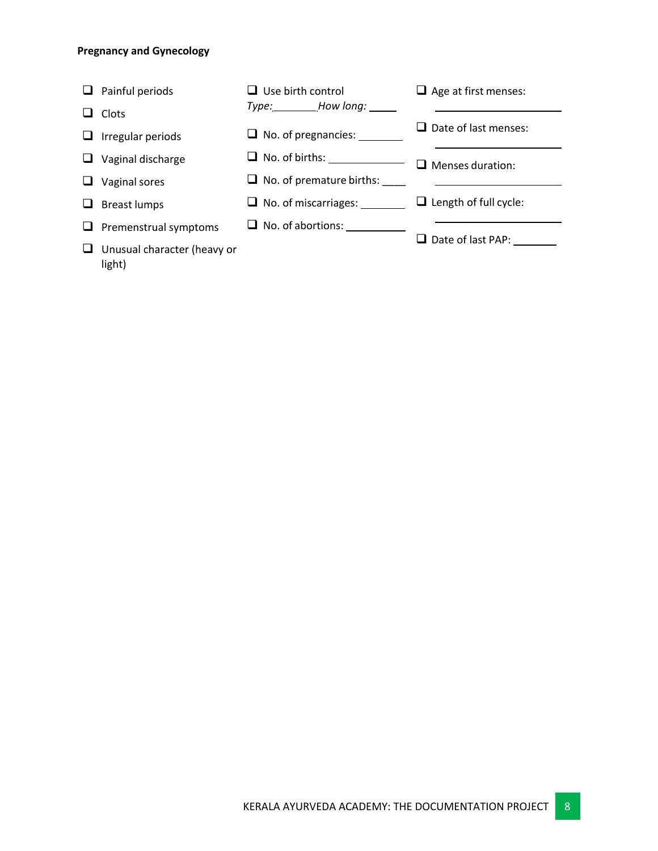### **Pregnancy and Gynecology**

light)

 $\Box$  Painful periods  $\Box$  Clots  $\Box$  Irregular periods  $\Box$  Vaginal discharge  $\Box$  Vaginal sores  $\Box$  Breast lumps  $\Box$  Premenstrual symptoms  $\Box$  Unusual character (heavy or  $\Box$  Use birth control *Type: How long:* **Q** No. of pregnancies: \_\_\_\_\_\_\_\_ q No. of births:  $\Box$  No. of premature births:  $\Box$ □ No. of miscarriages: \_\_\_\_\_\_\_  $\Box$  No. of abortions:  $\Box$  Age at first menses:  $\Box$  Date of last menses:  $\Box$  Menses duration:  $\Box$  Length of full cycle: □ Date of last PAP: \_\_\_\_\_\_\_\_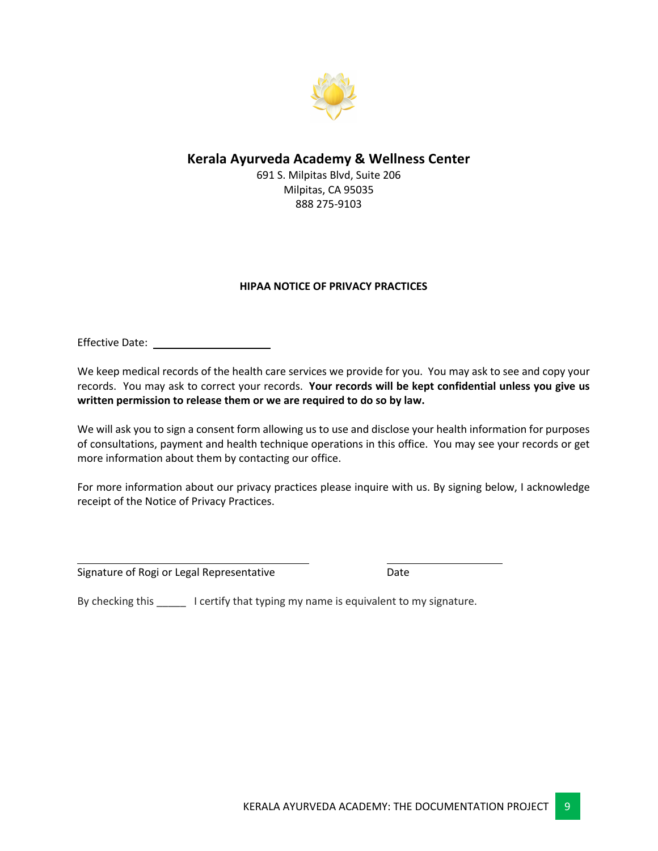

# **Kerala Ayurveda Academy & Wellness Center**

691 S. Milpitas Blvd, Suite 206 Milpitas, CA 95035 888 275-9103

## **HIPAA NOTICE OF PRIVACY PRACTICES**

Effective Date:

We keep medical records of the health care services we provide for you. You may ask to see and copy your records. You may ask to correct your records. **Your records will be kept confidential unless you give us written permission to release them or we are required to do so by law.**

We will ask you to sign a consent form allowing us to use and disclose your health information for purposes of consultations, payment and health technique operations in this office. You may see your records or get more information about them by contacting our office.

For more information about our privacy practices please inquire with us. By signing below, I acknowledge receipt of the Notice of Privacy Practices.

Signature of Rogi or Legal Representative **Date** Date

By checking this \_\_\_\_\_ I certify that typing my name is equivalent to my signature.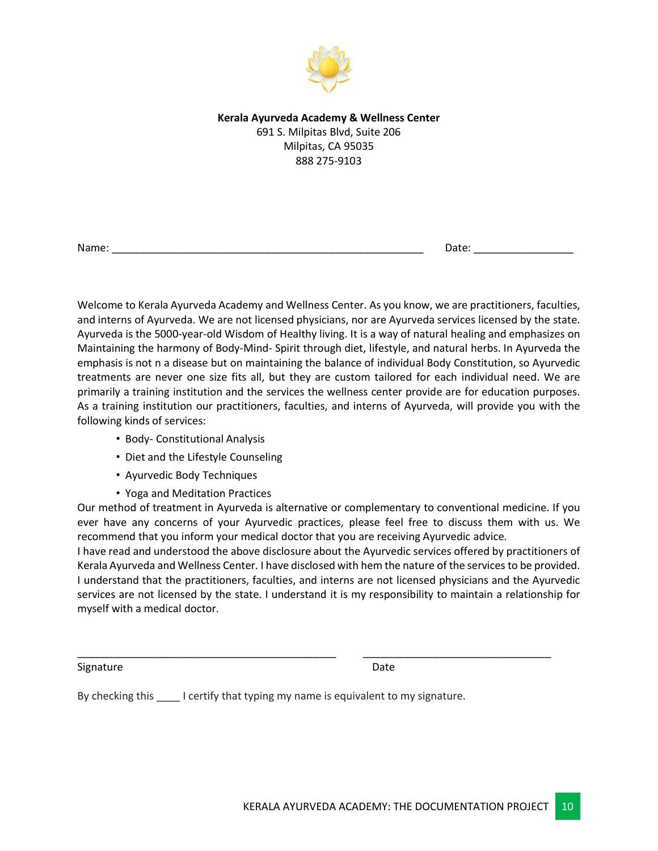

### **Kerala Ayurveda Academy & Wellness Center** 691 S. Milpitas Blvd, Suite 206 Milpitas, CA 95035 888 275-9103

Name: \_\_\_\_\_\_\_\_\_\_\_\_\_\_\_\_\_\_\_\_\_\_\_\_\_\_\_\_\_\_\_\_\_\_\_\_\_\_\_\_\_\_\_\_\_\_\_\_\_\_\_\_\_ Date: \_\_\_\_\_\_\_\_\_\_\_\_\_\_\_\_\_

Welcome to Kerala Ayurveda Academy and Wellness Center. As you know, we are practitioners, faculties, and interns of Ayurveda. We are not licensed physicians, nor are Ayurveda services licensed by the state. Ayurveda is the 5000-year-old Wisdom of Healthy living. It is a way of natural healing and emphasizes on Maintaining the harmony of Body-Mind- Spirit through diet, lifestyle, and natural herbs. In Ayurveda the emphasis is not n a disease but on maintaining the balance of individual Body Constitution, so Ayurvedic treatments are never one size fits all, but they are custom tailored for each individual need. We are primarily a training institution and the services the wellness center provide are for education purposes. As a training institution our practitioners, faculties, and interns of Ayurveda, will provide you with the following kinds of services:

- Body- Constitutional Analysis
- Diet and the Lifestyle Counseling
- Ayurvedic Body Techniques
- Yoga and Meditation Practices

Our method of treatment in Ayurveda is alternative or complementary to conventional medicine. If you ever have any concerns of your Ayurvedic practices, please feel free to discuss them with us. We recommend that you inform your medical doctor that you are receiving Ayurvedic advice.

I have read and understood the above disclosure about the Ayurvedic services offered by practitioners of Kerala Ayurveda and Wellness Center. I have disclosed with hem the nature of the services to be provided. I understand that the practitioners, faculties, and interns are not licensed physicians and the Ayurvedic services are not licensed by the state. I understand it is my responsibility to maintain a relationship for myself with a medical doctor.

\_\_\_\_\_\_\_\_\_\_\_\_\_\_\_\_\_\_\_\_\_\_\_\_\_\_\_\_\_\_\_\_\_\_\_\_\_\_\_\_\_\_\_\_ \_\_\_\_\_\_\_\_\_\_\_\_\_\_\_\_\_\_\_\_\_\_\_\_\_\_\_\_\_\_\_\_

Signature Date

By checking this **Land Exercity that typing my name is equivalent to my signature.**